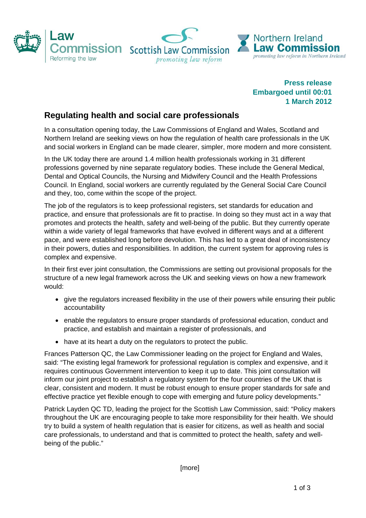

**Press release Embargoed until 00:01 1 March 2012** 

## **Regulating health and social care professionals**

In a consultation opening today, the Law Commissions of England and Wales, Scotland and Northern Ireland are seeking views on how the regulation of health care professionals in the UK and social workers in England can be made clearer, simpler, more modern and more consistent.

In the UK today there are around 1.4 million health professionals working in 31 different professions governed by nine separate regulatory bodies. These include the General Medical, Dental and Optical Councils, the Nursing and Midwifery Council and the Health Professions Council. In England, social workers are currently regulated by the General Social Care Council and they, too, come within the scope of the project.

The job of the regulators is to keep professional registers, set standards for education and practice, and ensure that professionals are fit to practise. In doing so they must act in a way that promotes and protects the health, safety and well-being of the public. But they currently operate within a wide variety of legal frameworks that have evolved in different ways and at a different pace, and were established long before devolution. This has led to a great deal of inconsistency in their powers, duties and responsibilities. In addition, the current system for approving rules is complex and expensive.

In their first ever joint consultation, the Commissions are setting out provisional proposals for the structure of a new legal framework across the UK and seeking views on how a new framework would:

- give the regulators increased flexibility in the use of their powers while ensuring their public accountability
- enable the regulators to ensure proper standards of professional education, conduct and practice, and establish and maintain a register of professionals, and
- have at its heart a duty on the regulators to protect the public.

Frances Patterson QC, the Law Commissioner leading on the project for England and Wales, said: "The existing legal framework for professional regulation is complex and expensive, and it requires continuous Government intervention to keep it up to date. This joint consultation will inform our joint project to establish a regulatory system for the four countries of the UK that is clear, consistent and modern. It must be robust enough to ensure proper standards for safe and effective practice yet flexible enough to cope with emerging and future policy developments."

Patrick Layden QC TD, leading the project for the Scottish Law Commission, said: "Policy makers throughout the UK are encouraging people to take more responsibility for their health. We should try to build a system of health regulation that is easier for citizens, as well as health and social care professionals, to understand and that is committed to protect the health, safety and wellbeing of the public."

[more]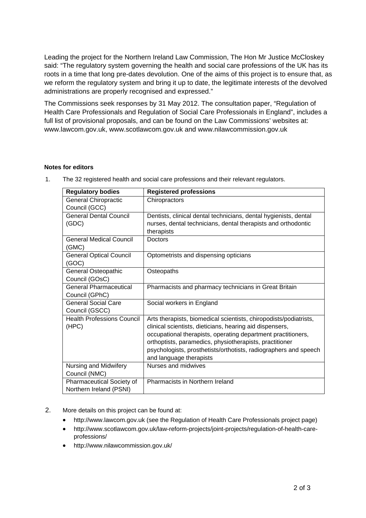Leading the project for the Northern Ireland Law Commission, The Hon Mr Justice McCloskey said: "The regulatory system governing the health and social care professions of the UK has its roots in a time that long pre-dates devolution. One of the aims of this project is to ensure that, as we reform the regulatory system and bring it up to date, the legitimate interests of the devolved administrations are properly recognised and expressed."

The Commissions seek responses by 31 May 2012. The consultation paper, "Regulation of Health Care Professionals and Regulation of Social Care Professionals in England", includes a full list of provisional proposals, and can be found on the Law Commissions' websites at: www.lawcom.gov.uk, www.scotlawcom.gov.uk and www.nilawcommission.gov.uk

## **Notes for editors**

| <b>Regulatory bodies</b>          | <b>Registered professions</b>                                     |
|-----------------------------------|-------------------------------------------------------------------|
| <b>General Chiropractic</b>       | Chiropractors                                                     |
| Council (GCC)                     |                                                                   |
| <b>General Dental Council</b>     | Dentists, clinical dental technicians, dental hygienists, dental  |
| (GDC)                             | nurses, dental technicians, dental therapists and orthodontic     |
|                                   | therapists                                                        |
| <b>General Medical Council</b>    | <b>Doctors</b>                                                    |
| (GMC)                             |                                                                   |
| <b>General Optical Council</b>    | Optometrists and dispensing opticians                             |
| (GOC)                             |                                                                   |
| General Osteopathic               | Osteopaths                                                        |
| Council (GOsC)                    |                                                                   |
| <b>General Pharmaceutical</b>     | Pharmacists and pharmacy technicians in Great Britain             |
| Council (GPhC)                    |                                                                   |
| General Social Care               | Social workers in England                                         |
| Council (GSCC)                    |                                                                   |
| <b>Health Professions Council</b> | Arts therapists, biomedical scientists, chiropodists/podiatrists, |
| (HPC)                             | clinical scientists, dieticians, hearing aid dispensers,          |
|                                   | occupational therapists, operating department practitioners,      |
|                                   | orthoptists, paramedics, physiotherapists, practitioner           |
|                                   | psychologists, prosthetists/orthotists, radiographers and speech  |
|                                   | and language therapists                                           |
| Nursing and Midwifery             | Nurses and midwives                                               |
| Council (NMC)                     |                                                                   |
| Pharmaceutical Society of         | Pharmacists in Northern Ireland                                   |
| Northern Ireland (PSNI)           |                                                                   |

1. The 32 registered health and social care professions and their relevant regulators.

- 2. More details on this project can be found at:
	- http://www.lawcom.gov.uk (see the Regulation of Health Care Professionals project page)
	- http://www.scotlawcom.gov.uk/law-reform-projects/joint-projects/regulation-of-health-careprofessions/
	- http://www.nilawcommission.gov.uk/